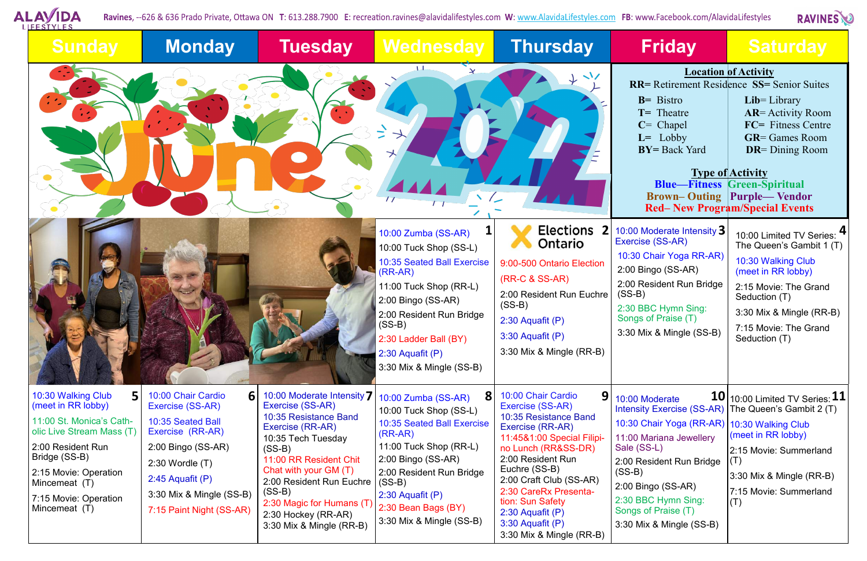

Ravines, --626 & 636 Prado Private, Ottawa ON T: 613.288.7900 E: recreation.ravines@alavidalifestyles.com W: www.AlavidaLifestyles.com FB: www.Facebook.com/AlavidaLifestyles

| <b>Friday</b>                                                                                                                                                                                                                                                                                                                                                                                                                                         | <b>Saturday</b>                                                                                                                                                                                                  |  |  |  |  |  |
|-------------------------------------------------------------------------------------------------------------------------------------------------------------------------------------------------------------------------------------------------------------------------------------------------------------------------------------------------------------------------------------------------------------------------------------------------------|------------------------------------------------------------------------------------------------------------------------------------------------------------------------------------------------------------------|--|--|--|--|--|
| <b>Location of Activity</b><br><b>RR=</b> Retirement Residence SS= Senior Suites<br>$B = Bistro$<br>$Lib = Library$<br><b>AR</b> = Activity Room<br>$T =$ Theatre<br><b>FC=</b> Fitness Centre<br>$C =$ Chapel<br>$GR = Games$ Room<br>$L =$ Lobby<br><b>BY=</b> Back Yard<br><b>DR</b> = Dining Room<br><b>Type of Activity</b><br><b>Blue-Fitness Green-Spiritual</b><br><b>Brown-Outing Purple—Vendor</b><br><b>Red–New Program/Special Events</b> |                                                                                                                                                                                                                  |  |  |  |  |  |
| 10:00 Moderate Intensity $\mathbf 3$<br>Exercise (SS-AR)<br>10:30 Chair Yoga RR-AR)<br>2:00 Bingo (SS-AR)<br>2:00 Resident Run Bridge<br>$(SS-B)$<br>2:30 BBC Hymn Sing:<br>Songs of Praise (T)<br>3:30 Mix & Mingle (SS-B)                                                                                                                                                                                                                           | 10:00 Limited TV Series:<br>The Queen's Gambit 1 (T)<br>10:30 Walking Club<br>(meet in RR lobby)<br>2:15 Movie: The Grand<br>Seduction (T)<br>3:30 Mix & Mingle (RR-B)<br>7:15 Movie: The Grand<br>Seduction (T) |  |  |  |  |  |
| 10<br>10:00 Moderate<br><b>Intensity Exercise (SS-AR)</b><br>10:30 Chair Yoga (RR-AR)<br>11:00 Mariana Jewellery<br>Sale (SS-L)<br>2:00 Resident Run Bridge<br>(SS-B)<br>2:00 Bingo (SS-AR)<br>2:30 BBC Hymn Sing:<br>Songs of Praise (T)<br>3:30 Mix & Mingle (SS-B)                                                                                                                                                                                 | 10:00 Limited TV Series: $11$<br>The Queen's Gambit 2 (T)<br>10:30 Walking Club<br>(meet in RR lobby)<br>2:15 Movie: Summerland<br>(T)<br>3:30 Mix & Mingle (RR-B)<br>7:15 Movie: Summerland<br>(T)              |  |  |  |  |  |